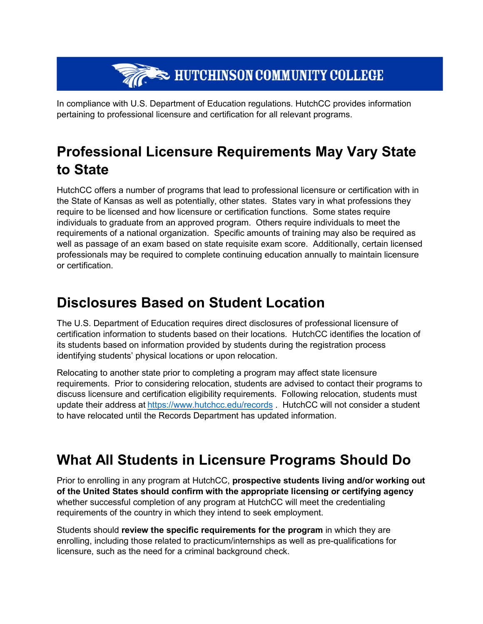## **THE SECOND BUTCHINSON COMMUNITY COLLEGE**

In compliance with U.S. Department of Education regulations. HutchCC provides information pertaining to professional licensure and certification for all relevant programs.

## **Professional Licensure Requirements May Vary State to State**

HutchCC offers a number of programs that lead to professional licensure or certification with in the State of Kansas as well as potentially, other states. States vary in what professions they require to be licensed and how licensure or certification functions. Some states require individuals to graduate from an approved program. Others require individuals to meet the requirements of a national organization. Specific amounts of training may also be required as well as passage of an exam based on state requisite exam score. Additionally, certain licensed professionals may be required to complete continuing education annually to maintain licensure or certification.

## **Disclosures Based on Student Location**

The U.S. Department of Education requires direct disclosures of professional licensure of certification information to students based on their locations. HutchCC identifies the location of its students based on information provided by students during the registration process identifying students' physical locations or upon relocation.

Relocating to another state prior to completing a program may affect state licensure requirements. Prior to considering relocation, students are advised to contact their programs to discuss licensure and certification eligibility requirements. Following relocation, students must update their address at <https://www.hutchcc.edu/records> . HutchCC will not consider a student to have relocated until the Records Department has updated information.

## **What All Students in Licensure Programs Should Do**

Prior to enrolling in any program at HutchCC, **prospective students living and/or working out of the United States should confirm with the appropriate licensing or certifying agency** whether successful completion of any program at HutchCC will meet the credentialing requirements of the country in which they intend to seek employment.

Students should **review the specific requirements for the program** in which they are enrolling, including those related to practicum/internships as well as pre-qualifications for licensure, such as the need for a criminal background check.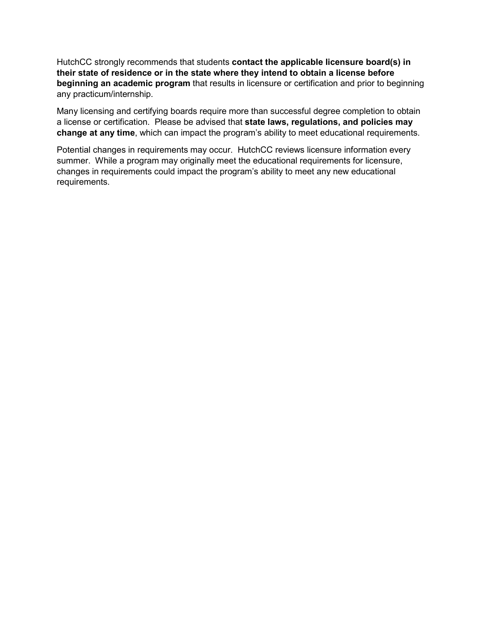HutchCC strongly recommends that students **contact the applicable licensure board(s) in their state of residence or in the state where they intend to obtain a license before beginning an academic program** that results in licensure or certification and prior to beginning any practicum/internship.

Many licensing and certifying boards require more than successful degree completion to obtain a license or certification. Please be advised that **state laws, regulations, and policies may change at any time**, which can impact the program's ability to meet educational requirements.

Potential changes in requirements may occur. HutchCC reviews licensure information every summer. While a program may originally meet the educational requirements for licensure, changes in requirements could impact the program's ability to meet any new educational requirements.